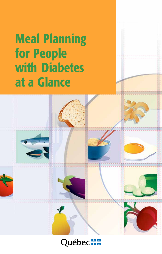# Meal Planning for People with Diabetes at a Glance



# Québec \*\*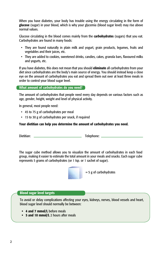When you have diabetes, your body has trouble using the energy circulating in the form of glucose (sugar) in your blood, which is why your glycemia (blood sugar level) may rise above normal values.

Glucose circulating in the blood comes mainly from the **carbohydrates** (sugars) that you eat. Carbohydrates are found in many foods:

- They are found naturally in plain milk and yogurt, grain products, legumes, fruits and vegetables and their juices, etc.
- They are added to cookies, sweetened drinks, candies, cakes, granola bars, flavoured milks and yogurts, etc.

If you have diabetes, this does not mean that you should eliminate all carbohydrates from your diet since carbohydrates are the body's main source of energy. You should instead keep a close eye on the amount of carbohydrates you eat and spread them out over at least three meals in order to control your blood sugar level.

#### What amount of carbohydrates do you need?

The amount of carbohydrates that people need every day depends on various factors such as age, gender, height, weight and level of physical activity.

In general, most people need:

- • 45 to 75 g of carbohydrates per meal
- • 15 to 30 g of carbohydrates per snack, if required

#### Your dietitian can help you determine the amount of carbohydrates you need.

Dietitian: Telephone:

The sugar cube method allows you to visualize the amount of carbohydrates in each food group, making it easier to estimate the total amount in your meals and snacks. Each sugar cube represents 5 grams of carbohydrates (or 1 tsp. or 1 sachet of sugar).



#### Blood sugar level targets

To avoid or delay complications affecting your eyes, kidneys, nerves, blood vessels and heart, blood sugar level should normally be between:

- 4 and 7 mmol/L before meals
- 5 and 10 mmol/L 2 hours after meals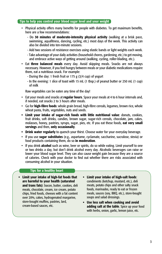#### Tips to help you control your blood sugar level and your weight

- Physical activity offers many benefits for people with diabetes. To get maximum benefits, here are a few recommendations:
	- Do 30 minutes of moderate-intensity physical activity (walking at a brisk pace, swimming, aquafitness, dancing, cycling, etc.) most days of the week. This activity can also be divided into ten-minute sessions.
	- Add two sessions of resistance exercises using elastic bands or light weights each week.
	- Take advantage of your daily activities (household chores, gardening, etc.) to get moving, and embrace active ways of getting around (walking, cycling, roller-blading, etc.).
- Eat three balanced meals every day. Avoid skipping meals. Snacks are not always necessary. However, if you feel hungry between meals or your diabetic medications require them, eat a nutritious snack. For example:
	- During the day: 1 fresh fruit or 175 g (3/4 cup) of yogurt
	- In the evening: 1 slice of toast with 15 mL (1 tbsp.) of peanut butter or 250 mL (1 cup) of milk

Raw vegetables can be eaten any time of the day!

- Eat your meals and snacks at regular hours. Space your meals at 4 to 6 hour intervals and, if needed, eat snacks 2 to 3 hours after meals.
- Go for high-fibre foods: whole grain bread, high-fibre cereals, legumes, brown rice, whole wheat pasta, fruits, vegetables, nuts and seeds.
- Limit your intake of sugar-rich foods with little nutritional value: donuts, cookies, fruit drinks, soft drinks, candies, brown sugar, sugar-rich cereals, chocolate, jam, cakes, molasses, honey, pastries, syrups, sugar, pies, etc. If you eat these foods, eat very small servings and then, only occasionally.
- Drink water regularly to quench your thirst. Choose water for your everyday beverage.
- If you use **sugar substitutes** (e.g., aspartame, cyclamate, saccharine, sucralose, stevia) or food products containing them, do so in moderation.
- If you drink **alcohol** such as wine, beer or spirits, do so while eating. Limit yourself to one or two drinks a day, but don't drink alcohol every day. Alcoholic beverages can raise or lower your blood sugar level. They can also cause weight gain because they are a source of calories. Check with your doctor to find out whether there are risks associated with consuming alcohol in your situation.

#### Tips for a healthy heart

- • Limit your intake of high-fat foods that are harmful to your health (saturated and trans fats): bacon, butter, cookies, deli meats, chocolate, cream, ice cream, potato chips, fried foods, cheeses with a fat content over 20%, cakes, hydrogenated margarine, store-bought muffins, pastries, lard, cream-based sauces, etc.
- **Limit your intake of high-salt foods:** condiments (ketchup, mustard, etc.), deli meats, potato chips and other salty snack foods, marinades, ready to eat or frozen meals, sauces (soy, BBQ, etc.), store-bought soups and salad dressings.
- • Use less salt when cooking and avoid adding salt at the table. Spice up your food with herbs, onion, garlic, lemon juice, etc.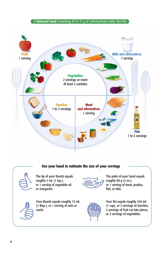#### A **balanced meal** containing 45 to 75 g of carbohydrates looks like this:



#### Use your hand to estimate the size of your servings



The tip of your thumb equals roughly 5 mL (1 tsp.), or 1 serving of vegetable oil or margarine.



The palm of your hand equals roughly 90 g (3 oz.), or 1 serving of meat, poultry, fish, or tofu.



Your thumb equals roughly 15 mL (1 tbsp.), or 1 serving of nuts or seeds.





Your fist equals roughly 250 mL (1 cup), or 2 servings of starches, 2 servings of fruit cut into pieces, or 2 servings of vegetables.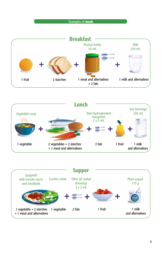#### Examples of meals



![](_page_4_Figure_2.jpeg)

![](_page_4_Figure_3.jpeg)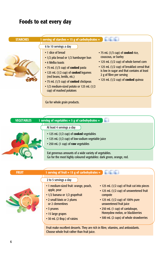# Foods to eat every day

| <b>STARCHES</b> | 1 serving of starches $= 15$ g of carbohydrates $=$                                                                                                                                                                                                                                                                                  |                                                                                                                                                                                                                                                                            |
|-----------------|--------------------------------------------------------------------------------------------------------------------------------------------------------------------------------------------------------------------------------------------------------------------------------------------------------------------------------------|----------------------------------------------------------------------------------------------------------------------------------------------------------------------------------------------------------------------------------------------------------------------------|
|                 | 6 to 10 servings a day<br>• 1 slice of bread<br>• 1/2 pita bread or 1/2 hamburger bun<br>• 4 Melba toasts<br>• 75 mL (1/3 cup) of cooked pasta<br>• 125 mL (1/2 cup) of cooked legumes<br>(red beans, lentils, etc.)<br>• 75 mL (1/3 cup) of cooked chickpeas<br>• 1/2 medium-sized potato or 125 mL (1/2<br>cup) of mashed potatoes | • 75 mL (1/3 cup) of <b>cooked</b> rice,<br>couscous, or barley<br>• 125 mL (1/2 cup) of whole kernel corn<br>• 125 mL (1/2 cup) of breakfast cereal that<br>is low in sugar and that contains at least<br>2 g of fibre per serving<br>• 125 mL (1/2 cup) of cooked quinoa |

Go for whole grain products.

| <b>VEGETABLES</b> | 1 serving of vegetables = $5$ g of carbohydrates =                                                                            |
|-------------------|-------------------------------------------------------------------------------------------------------------------------------|
|                   | At least 4 servings a day<br>• 125 mL (1/2 cup) of cooked vegetables                                                          |
|                   | • 125 mL (1/2 cup) of low-sodium vegetable juice<br>. 250 mL (1 cup) of raw vegetables                                        |
|                   | Eat generous amounts of a wide variety of vegetables.<br>Go for the most highly coloured vegetables: dark green, orange, red. |

| <b>FRUIT</b> | 1 serving of fruit = $15$ g of carbohydrates =                                                                        |                                                                                                                                          |
|--------------|-----------------------------------------------------------------------------------------------------------------------|------------------------------------------------------------------------------------------------------------------------------------------|
|              | 2 to 5 servings a day                                                                                                 |                                                                                                                                          |
|              | • 1 medium-sized fruit: orange, peach,<br>apple, pear<br>• 1/2 banana or 1/2 grapefruit<br>• 2 small kiwis or 2 plums | • 125 mL (1/2 cup) of fruit cut into pieces<br>• 125 mL (1/2 cup) of unsweetened fruit<br>compote<br>• 125 mL (1/2 cup) of 100% pure     |
|              | or 2 clementines<br>• 3 prunes<br>• 15 large grapes<br>• 30 mL (2 tbsp.) of raisins                                   | unsweetened fruit juice<br>• 250 mL (1 cup) of cantaloupe,<br>Honeydew melon, or blackberries<br>• 500 mL (2 cups) of whole strawberries |

Fruit make excellent desserts. They are rich in fibre, vitamins, and antioxidants. Choose whole fruit rather than fruit juice.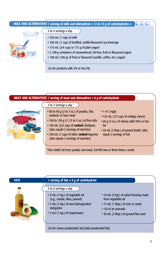| MILK AND ALTERNATIVES 1 serving of milk and alternatives = 12 to 15 g of carbohydrates = |                                                                                                                                                                                                                                                                                                                                                                      |  |
|------------------------------------------------------------------------------------------|----------------------------------------------------------------------------------------------------------------------------------------------------------------------------------------------------------------------------------------------------------------------------------------------------------------------------------------------------------------------|--|
|                                                                                          | 2 to 4 servings a day<br>$\cdot$ 250 mL (1 cup) of milk<br>• 250 mL (1 cup) of fortified, vanilla-flavoured soy beverage<br>• 175 mL (3/4 cup) or 175 g of plain yogurt<br>• 2 100-g containers of unsweetened, fat-free, fruit or flavoured yogurt<br>• 100 mL (100 g) of fruit or flavoured (vanilla, coffee, etc.) yogurt<br>Go for products with 2% or less fat. |  |

![](_page_6_Figure_1.jpeg)

![](_page_6_Figure_3.jpeg)

Go for mono-unsaturated and poly-unsaturated fats.